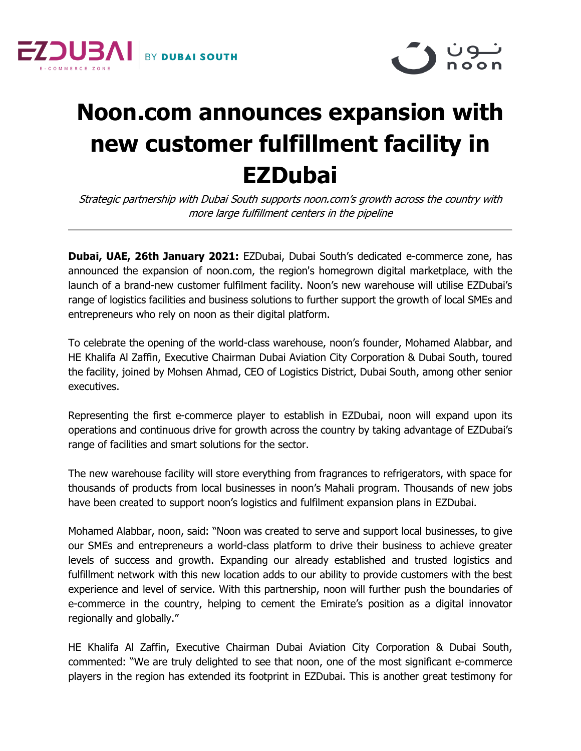



## **Noon.com announces expansion with new customer fulfillment facility in EZDubai**

Strategic partnership with Dubai South supports noon.com's growth across the country with more large fulfillment centers in the pipeline

**Dubai, UAE, 26th January 2021:** EZDubai, Dubai South's dedicated e-commerce zone, has announced the expansion of noon.com, the region's homegrown digital marketplace, with the launch of a brand-new customer fulfilment facility. Noon's new warehouse will utilise EZDubai's range of logistics facilities and business solutions to further support the growth of local SMEs and entrepreneurs who rely on noon as their digital platform.

To celebrate the opening of the world-class warehouse, noon's founder, Mohamed Alabbar, and HE Khalifa Al Zaffin, Executive Chairman Dubai Aviation City Corporation & Dubai South, toured the facility, joined by Mohsen Ahmad, CEO of Logistics District, Dubai South, among other senior executives.

Representing the first e-commerce player to establish in EZDubai, noon will expand upon its operations and continuous drive for growth across the country by taking advantage of EZDubai's range of facilities and smart solutions for the sector.

The new warehouse facility will store everything from fragrances to refrigerators, with space for thousands of products from local businesses in noon's Mahali program. Thousands of new jobs have been created to support noon's logistics and fulfilment expansion plans in EZDubai.

Mohamed Alabbar, noon, said: "Noon was created to serve and support local businesses, to give our SMEs and entrepreneurs a world-class platform to drive their business to achieve greater levels of success and growth. Expanding our already established and trusted logistics and fulfillment network with this new location adds to our ability to provide customers with the best experience and level of service. With this partnership, noon will further push the boundaries of e-commerce in the country, helping to cement the Emirate's position as a digital innovator regionally and globally."

HE Khalifa Al Zaffin, Executive Chairman Dubai Aviation City Corporation & Dubai South, commented: "We are truly delighted to see that noon, one of the most significant e-commerce players in the region has extended its footprint in EZDubai. This is another great testimony for